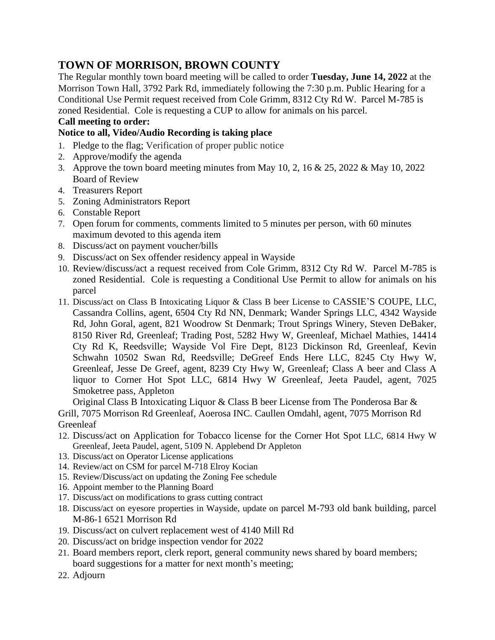## **TOWN OF MORRISON, BROWN COUNTY**

The Regular monthly town board meeting will be called to order **Tuesday, June 14, 2022** at the Morrison Town Hall, 3792 Park Rd, immediately following the 7:30 p.m. Public Hearing for a Conditional Use Permit request received from Cole Grimm, 8312 Cty Rd W. Parcel M-785 is zoned Residential. Cole is requesting a CUP to allow for animals on his parcel.

## **Call meeting to order:**

## **Notice to all, Video/Audio Recording is taking place**

- 1. Pledge to the flag; Verification of proper public notice
- 2. Approve/modify the agenda
- 3. Approve the town board meeting minutes from May 10, 2, 16 & 25, 2022 & May 10, 2022 Board of Review
- 4. Treasurers Report
- 5. Zoning Administrators Report
- 6. Constable Report
- 7. Open forum for comments, comments limited to 5 minutes per person, with 60 minutes maximum devoted to this agenda item
- 8. Discuss/act on payment voucher/bills
- 9. Discuss/act on Sex offender residency appeal in Wayside
- 10. Review/discuss/act a request received from Cole Grimm, 8312 Cty Rd W. Parcel M-785 is zoned Residential. Cole is requesting a Conditional Use Permit to allow for animals on his parcel
- 11. Discuss/act on Class B Intoxicating Liquor & Class B beer License to CASSIE'S COUPE, LLC, Cassandra Collins, agent, 6504 Cty Rd NN, Denmark; Wander Springs LLC, 4342 Wayside Rd, John Goral, agent, 821 Woodrow St Denmark; Trout Springs Winery, Steven DeBaker, 8150 River Rd, Greenleaf; Trading Post, 5282 Hwy W, Greenleaf, Michael Mathies, 14414 Cty Rd K, Reedsville; Wayside Vol Fire Dept, 8123 Dickinson Rd, Greenleaf, Kevin Schwahn 10502 Swan Rd, Reedsville; DeGreef Ends Here LLC, 8245 Cty Hwy W, Greenleaf, Jesse De Greef, agent, 8239 Cty Hwy W, Greenleaf; Class A beer and Class A liquor to Corner Hot Spot LLC, 6814 Hwy W Greenleaf, Jeeta Paudel, agent, 7025 Smoketree pass, Appleton

 Original Class B Intoxicating Liquor & Class B beer License from The Ponderosa Bar & Grill, 7075 Morrison Rd Greenleaf, Aoerosa INC. Caullen Omdahl, agent, 7075 Morrison Rd Greenleaf

- 12. Discuss/act on Application for Tobacco license for the Corner Hot Spot LLC, 6814 Hwy W Greenleaf, Jeeta Paudel, agent, 5109 N. Applebend Dr Appleton
- 13. Discuss/act on Operator License applications
- 14. Review/act on CSM for parcel M-718 Elroy Kocian
- 15. Review/Discuss/act on updating the Zoning Fee schedule
- 16. Appoint member to the Planning Board
- 17. Discuss/act on modifications to grass cutting contract
- 18. Discuss/act on eyesore properties in Wayside, update on parcel M-793 old bank building, parcel M-86-1 6521 Morrison Rd
- 19. Discuss/act on culvert replacement west of 4140 Mill Rd
- 20. Discuss/act on bridge inspection vendor for 2022
- 21. Board members report, clerk report, general community news shared by board members; board suggestions for a matter for next month's meeting;
- 22. Adjourn